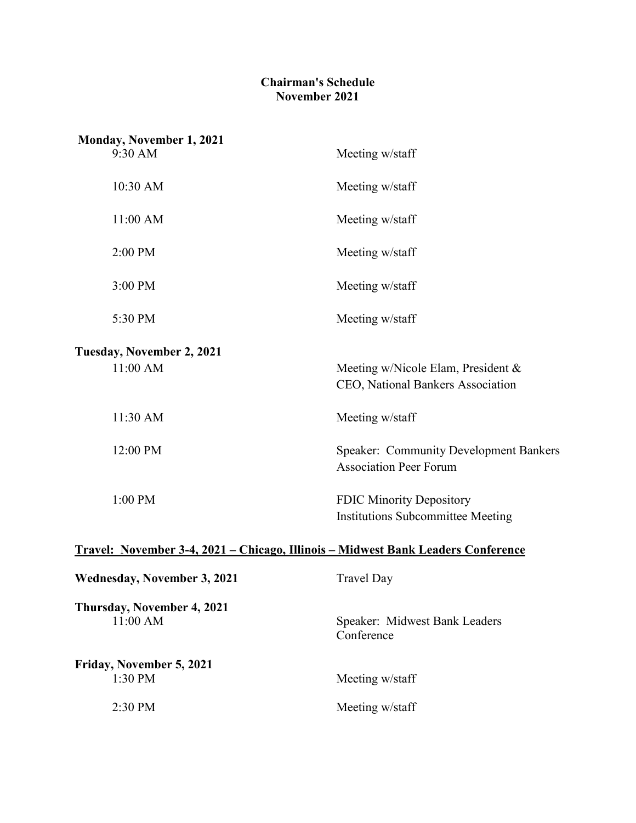## **Chairman's Schedule November 2021**

| <b>Monday, November 1, 2021</b><br>9:30 AM                                               | Meeting w/staff                                                                |  |
|------------------------------------------------------------------------------------------|--------------------------------------------------------------------------------|--|
|                                                                                          |                                                                                |  |
| 10:30 AM                                                                                 | Meeting w/staff                                                                |  |
| 11:00 AM                                                                                 | Meeting w/staff                                                                |  |
| 2:00 PM                                                                                  | Meeting w/staff                                                                |  |
| 3:00 PM                                                                                  | Meeting w/staff                                                                |  |
| 5:30 PM                                                                                  | Meeting w/staff                                                                |  |
| Tuesday, November 2, 2021                                                                |                                                                                |  |
| 11:00 AM                                                                                 | Meeting w/Nicole Elam, President &<br>CEO, National Bankers Association        |  |
| 11:30 AM                                                                                 | Meeting w/staff                                                                |  |
| 12:00 PM                                                                                 | <b>Speaker: Community Development Bankers</b><br><b>Association Peer Forum</b> |  |
| 1:00 PM                                                                                  | <b>FDIC Minority Depository</b><br><b>Institutions Subcommittee Meeting</b>    |  |
| <u> Travel: November 3-4, 2021 – Chicago, Illinois – Midwest Bank Leaders Conference</u> |                                                                                |  |
| <b>Wednesday, November 3, 2021</b>                                                       | <b>Travel Day</b>                                                              |  |
| Thursday, November 4, 2021<br>11:00 AM                                                   | Speaker: Midwest Bank Leaders<br>Conference                                    |  |
| Friday, November 5, 2021<br>1:30 PM                                                      | Meeting w/staff                                                                |  |
| 2:30 PM                                                                                  | Meeting w/staff                                                                |  |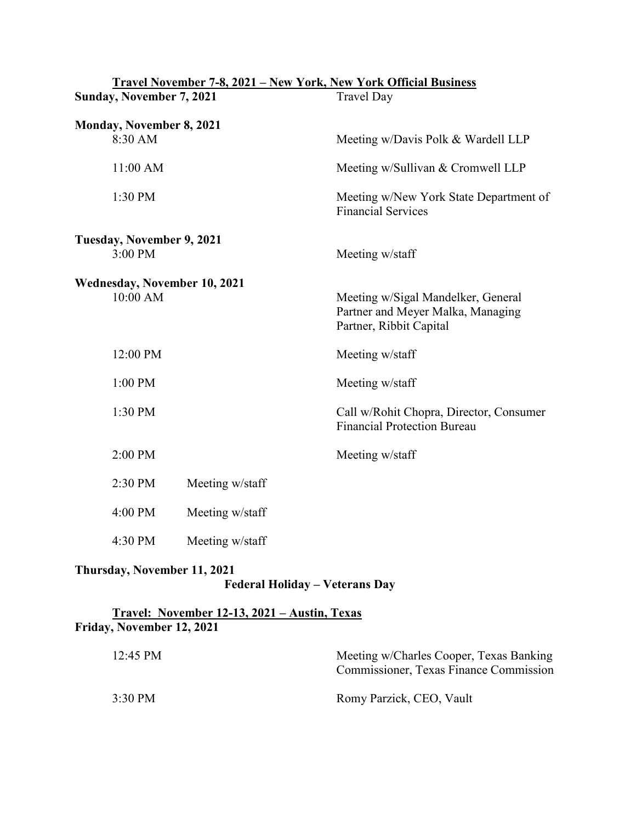| Travel November 7-8, 2021 - New York, New York Official Business |                                                                                                    |  |
|------------------------------------------------------------------|----------------------------------------------------------------------------------------------------|--|
| Sunday, November 7, 2021                                         | <b>Travel Day</b>                                                                                  |  |
| Monday, November 8, 2021<br>8:30 AM                              | Meeting w/Davis Polk & Wardell LLP                                                                 |  |
| 11:00 AM                                                         | Meeting w/Sullivan & Cromwell LLP                                                                  |  |
| 1:30 PM                                                          | Meeting w/New York State Department of<br><b>Financial Services</b>                                |  |
| Tuesday, November 9, 2021                                        |                                                                                                    |  |
| $3:00$ PM                                                        | Meeting w/staff                                                                                    |  |
| Wednesday, November 10, 2021<br>10:00 AM                         | Meeting w/Sigal Mandelker, General<br>Partner and Meyer Malka, Managing<br>Partner, Ribbit Capital |  |
| 12:00 PM                                                         | Meeting w/staff                                                                                    |  |
| 1:00 PM                                                          | Meeting w/staff                                                                                    |  |
| 1:30 PM                                                          | Call w/Rohit Chopra, Director, Consumer<br><b>Financial Protection Bureau</b>                      |  |
| 2:00 PM                                                          | Meeting w/staff                                                                                    |  |
| 2:30 PM<br>Meeting w/staff                                       |                                                                                                    |  |
| 4:00 PM<br>Meeting w/staff                                       |                                                                                                    |  |
| 4:30 PM<br>Meeting w/staff                                       |                                                                                                    |  |
| Thursday, November 11, 2021                                      |                                                                                                    |  |

## **Federal Holiday – Veterans Day**

## **Travel: November 12-13, 2021 – Austin, Texas Friday, November 12, 2021**

| 12:45 PM | Meeting w/Charles Cooper, Texas Banking<br>Commissioner, Texas Finance Commission |
|----------|-----------------------------------------------------------------------------------|
| 3:30 PM  | Romy Parzick, CEO, Vault                                                          |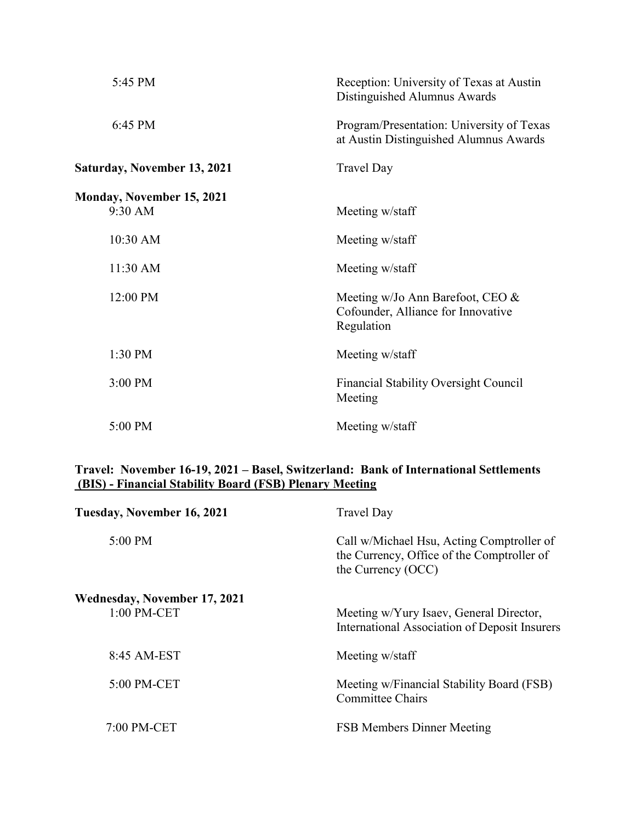| 5:45 PM                                     | Reception: University of Texas at Austin<br>Distinguished Alumnus Awards                |
|---------------------------------------------|-----------------------------------------------------------------------------------------|
| 6:45 PM                                     | Program/Presentation: University of Texas<br>at Austin Distinguished Alumnus Awards     |
| <b>Saturday, November 13, 2021</b>          | <b>Travel Day</b>                                                                       |
| <b>Monday, November 15, 2021</b><br>9:30 AM | Meeting w/staff                                                                         |
| 10:30 AM                                    | Meeting w/staff                                                                         |
| 11:30 AM                                    | Meeting w/staff                                                                         |
| 12:00 PM                                    | Meeting w/Jo Ann Barefoot, CEO $\&$<br>Cofounder, Alliance for Innovative<br>Regulation |
| 1:30 PM                                     | Meeting w/staff                                                                         |
| 3:00 PM                                     | <b>Financial Stability Oversight Council</b><br>Meeting                                 |
| 5:00 PM                                     | Meeting w/staff                                                                         |

## **Travel: November 16-19, 2021 – Basel, Switzerland: Bank of International Settlements (BIS) - Financial Stability Board (FSB) Plenary Meeting**

| Tuesday, November 16, 2021                  | <b>Travel Day</b>                                                                                             |
|---------------------------------------------|---------------------------------------------------------------------------------------------------------------|
| 5:00 PM                                     | Call w/Michael Hsu, Acting Comptroller of<br>the Currency, Office of the Comptroller of<br>the Currency (OCC) |
| Wednesday, November 17, 2021<br>1:00 PM-CET | Meeting w/Yury Isaev, General Director,<br>International Association of Deposit Insurers                      |
| 8:45 AM-EST                                 | Meeting w/staff                                                                                               |
| 5:00 PM-CET                                 | Meeting w/Financial Stability Board (FSB)<br><b>Committee Chairs</b>                                          |
| 7:00 PM-CET                                 | <b>FSB Members Dinner Meeting</b>                                                                             |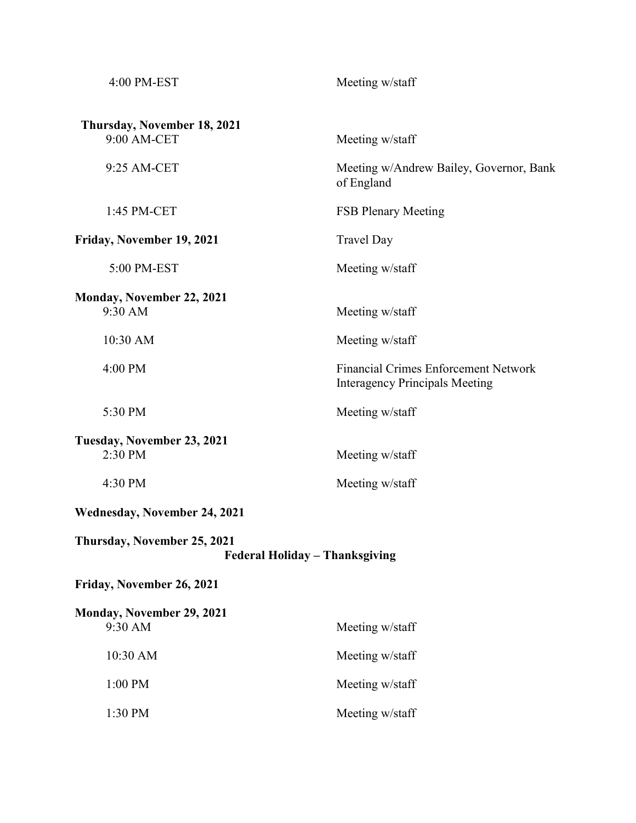| 4:00 PM-EST                                                   | Meeting w/staff                                                                      |  |
|---------------------------------------------------------------|--------------------------------------------------------------------------------------|--|
| Thursday, November 18, 2021<br>9:00 AM-CET                    | Meeting w/staff                                                                      |  |
| 9:25 AM-CET                                                   | Meeting w/Andrew Bailey, Governor, Bank<br>of England                                |  |
| 1:45 PM-CET                                                   | <b>FSB Plenary Meeting</b>                                                           |  |
| Friday, November 19, 2021                                     | <b>Travel Day</b>                                                                    |  |
| 5:00 PM-EST                                                   | Meeting w/staff                                                                      |  |
| Monday, November 22, 2021<br>9:30 AM                          | Meeting w/staff                                                                      |  |
| 10:30 AM                                                      | Meeting w/staff                                                                      |  |
| 4:00 PM                                                       | <b>Financial Crimes Enforcement Network</b><br><b>Interagency Principals Meeting</b> |  |
| 5:30 PM                                                       | Meeting w/staff                                                                      |  |
| Tuesday, November 23, 2021<br>2:30 PM                         | Meeting w/staff                                                                      |  |
| 4:30 PM                                                       | Meeting w/staff                                                                      |  |
| Wednesday, November 24, 2021                                  |                                                                                      |  |
| Thursday, November 25, 2021<br>Federal Holiday - Thanksgiving |                                                                                      |  |
| Friday, November 26, 2021                                     |                                                                                      |  |
| Monday, November 29, 2021<br>9:30 AM                          | Meeting w/staff                                                                      |  |
| 10:30 AM                                                      | Meeting w/staff                                                                      |  |
| 1:00 PM                                                       | Meeting w/staff                                                                      |  |
| 1:30 PM                                                       | Meeting w/staff                                                                      |  |